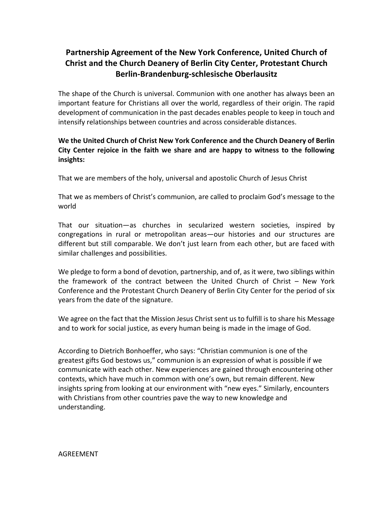## **Partnership Agreement of the New York Conference, United Church of Christ and the Church Deanery of Berlin City Center, Protestant Church Berlin-Brandenburg-schlesische Oberlausitz**

The shape of the Church is universal. Communion with one another has always been an important feature for Christians all over the world, regardless of their origin. The rapid development of communication in the past decades enables people to keep in touch and intensify relationships between countries and across considerable distances.

## **We the United Church of Christ New York Conference and the Church Deanery of Berlin City Center rejoice in the faith we share and are happy to witness to the following insights:**

That we are members of the holy, universal and apostolic Church of Jesus Christ

That we as members of Christ's communion, are called to proclaim God's message to the world

That our situation—as churches in secularized western societies, inspired by congregations in rural or metropolitan areas—our histories and our structures are different but still comparable. We don't just learn from each other, but are faced with similar challenges and possibilities.

We pledge to form a bond of devotion, partnership, and of, as it were, two siblings within the framework of the contract between the United Church of Christ – New York Conference and the Protestant Church Deanery of Berlin City Center for the period of six years from the date of the signature.

We agree on the fact that the Mission Jesus Christ sent us to fulfill is to share his Message and to work for social justice, as every human being is made in the image of God.

According to Dietrich Bonhoeffer, who says: "Christian communion is one of the greatest gifts God bestows us," communion is an expression of what is possible if we communicate with each other. New experiences are gained through encountering other contexts, which have much in common with one's own, but remain different. New insights spring from looking at our environment with "new eyes." Similarly, encounters with Christians from other countries pave the way to new knowledge and understanding.

AGREEMENT